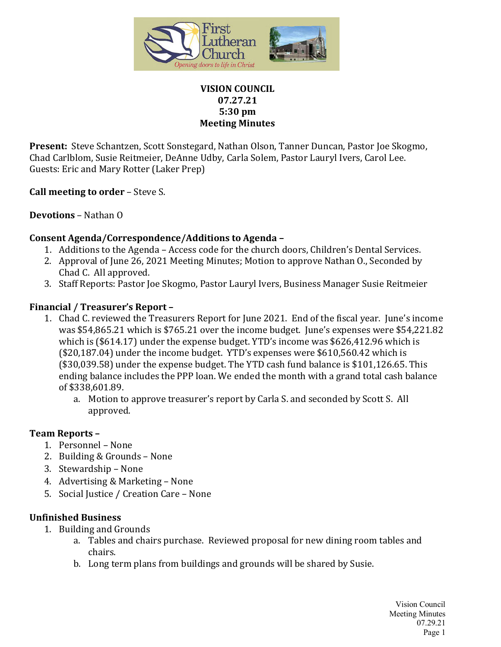

## **VISION COUNCIL 07.27.21 5:30 pm Meeting Minutes**

**Present:** Steve Schantzen, Scott Sonstegard, Nathan Olson, Tanner Duncan, Pastor Joe Skogmo, Chad Carlblom, Susie Reitmeier, DeAnne Udby, Carla Solem, Pastor Lauryl Ivers, Carol Lee. Guests: Eric and Mary Rotter (Laker Prep)

**Call meeting to order** – Steve S.

# **Devotions** – Nathan O

## **Consent Agenda/Correspondence/Additions to Agenda –**

- 1. Additions to the Agenda Access code for the church doors, Children's Dental Services.
- 2. Approval of June 26, 2021 Meeting Minutes; Motion to approve Nathan O., Seconded by Chad C. All approved.
- 3. Staff Reports: Pastor Joe Skogmo, Pastor Lauryl Ivers, Business Manager Susie Reitmeier

## **Financial / Treasurer's Report –**

- 1. Chad C. reviewed the Treasurers Report for June 2021. End of the fiscal year. June's income was \$54,865.21 which is \$765.21 over the income budget. June's expenses were \$54,221.82 which is (\$614.17) under the expense budget. YTD's income was \$626,412.96 which is (\$20,187.04) under the income budget. YTD's expenses were \$610,560.42 which is (\$30,039.58) under the expense budget. The YTD cash fund balance is \$101,126.65. This ending balance includes the PPP loan. We ended the month with a grand total cash balance of \$338,601.89.
	- a. Motion to approve treasurer's report by Carla S. and seconded by Scott S. All approved.

#### **Team Reports –**

- 1. Personnel None
- 2. Building & Grounds None
- 3. Stewardship None
- 4. Advertising & Marketing None
- 5. Social Justice / Creation Care None

#### **Unfinished Business**

- 1. Building and Grounds
	- a. Tables and chairs purchase. Reviewed proposal for new dining room tables and chairs.
	- b. Long term plans from buildings and grounds will be shared by Susie.